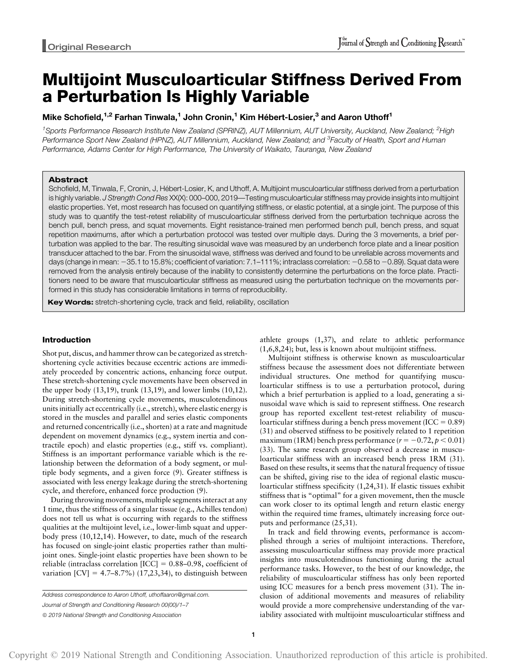# Multijoint Musculoarticular Stiffness Derived From a Perturbation Is Highly Variable

# Mike Schofield,<sup>1,2</sup> Farhan Tinwala,<sup>1</sup> John Cronin,<sup>1</sup> Kim Hébert-Losier,<sup>3</sup> and Aaron Uthoff<sup>1</sup>

<sup>1</sup>Sports Performance Research Institute New Zealand (SPRINZ), AUT Millennium, AUT University, Auckland, New Zealand; <sup>2</sup>High Performance Sport New Zealand (HPNZ), AUT Millennium, Auckland, New Zealand; and <sup>3</sup>Faculty of Health, Sport and Human Performance, Adams Center for High Performance, The University of Waikato, Tauranga, New Zealand

## Abstract

Schofield, M, Tinwala, F, Cronin, J, Hébert-Losier, K, and Uthoff, A. Multijoint musculoarticular stiffness derived from a perturbation is highly variable. J Strength Cond Res XX(X): 000-000, 2019—Testing musculoarticular stiffness may provide insights into multijoint elastic properties. Yet, most research has focused on quantifying stiffness, or elastic potential, at a single joint. The purpose of this study was to quantify the test-retest reliability of musculoarticular stiffness derived from the perturbation technique across the bench pull, bench press, and squat movements. Eight resistance-trained men performed bench pull, bench press, and squat repetition maximums, after which a perturbation protocol was tested over multiple days. During the 3 movements, a brief perturbation was applied to the bar. The resulting sinusoidal wave was measured by an underbench force plate and a linear position transducer attached to the bar. From the sinusoidal wave, stiffness was derived and found to be unreliable across movements and days (change in mean: -35.1 to 15.8%; coefficient of variation: 7.1-111%; intraclass correlation: -0.58 to -0.89). Squat data were removed from the analysis entirely because of the inability to consistently determine the perturbations on the force plate. Practitioners need to be aware that musculoarticular stiffness as measured using the perturbation technique on the movements performed in this study has considerable limitations in terms of reproducibility.

Key Words: stretch-shortening cycle, track and field, reliability, oscillation

# Introduction

Shot put, discus, and hammer throw can be categorized as stretchshortening cycle activities because eccentric actions are immediately proceeded by concentric actions, enhancing force output. These stretch-shortening cycle movements have been observed in the upper body (13,19), trunk (13,19), and lower limbs (10,12). During stretch-shortening cycle movements, musculotendinous units initially act eccentrically (i.e., stretch), where elastic energy is stored in the muscles and parallel and series elastic components and returned concentrically (i.e., shorten) at a rate and magnitude dependent on movement dynamics (e.g., system inertia and contractile epoch) and elastic properties (e.g., stiff vs. compliant). Stiffness is an important performance variable which is the relationship between the deformation of a body segment, or multiple body segments, and a given force (9). Greater stiffness is associated with less energy leakage during the stretch-shortening cycle, and therefore, enhanced force production (9).

During throwing movements, multiple segments interact at any 1 time, thus the stiffness of a singular tissue (e.g., Achilles tendon) does not tell us what is occurring with regards to the stiffness qualities at the multijoint level, i.e., lower-limb squat and upperbody press (10,12,14). However, to date, much of the research has focused on single-joint elastic properties rather than multijoint ones. Single-joint elastic properties have been shown to be reliable (intraclass correlation  $[ICC] = 0.88-0.98$ , coefficient of variation  $\text{[CV]} = 4.7–8.7\%$  (17,23,34), to distinguish between athlete groups (1,37), and relate to athletic performance (1,6,8,24); but, less is known about multijoint stiffness.

Multijoint stiffness is otherwise known as musculoarticular stiffness because the assessment does not differentiate between individual structures. One method for quantifying musculoarticular stiffness is to use a perturbation protocol, during which a brief perturbation is applied to a load, generating a sinusoidal wave which is said to represent stiffness. One research group has reported excellent test-retest reliability of musculoarticular stiffness during a bench press movement (ICC =  $0.89$ ) (31) and observed stiffness to be positively related to 1 repetition maximum (1RM) bench press performance ( $r = -0.72, p < 0.01$ ) (33). The same research group observed a decrease in musculoarticular stiffness with an increased bench press 1RM (31). Based on these results, it seems that the natural frequency of tissue can be shifted, giving rise to the idea of regional elastic musculoarticular stiffness specificity (1,24,31). If elastic tissues exhibit stiffness that is "optimal" for a given movement, then the muscle can work closer to its optimal length and return elastic energy within the required time frames, ultimately increasing force outputs and performance (25,31).

In track and field throwing events, performance is accomplished through a series of multijoint interactions. Therefore, assessing musculoarticular stiffness may provide more practical insights into musculotendinous functioning during the actual performance tasks. However, to the best of our knowledge, the reliability of musculoarticular stiffness has only been reported using ICC measures for a bench press movement (31). The inclusion of additional movements and measures of reliability would provide a more comprehensive understanding of the variability associated with multijoint musculoarticular stiffness and

Address correspondence to Aaron Uthoff, [uthoffaaron@gmail.com](mailto:uthoffaaron@gmail.com).

Journal of Strength and Conditioning Research 00(00)/1–7

 $©$  2019 National Strength and Conditioning Association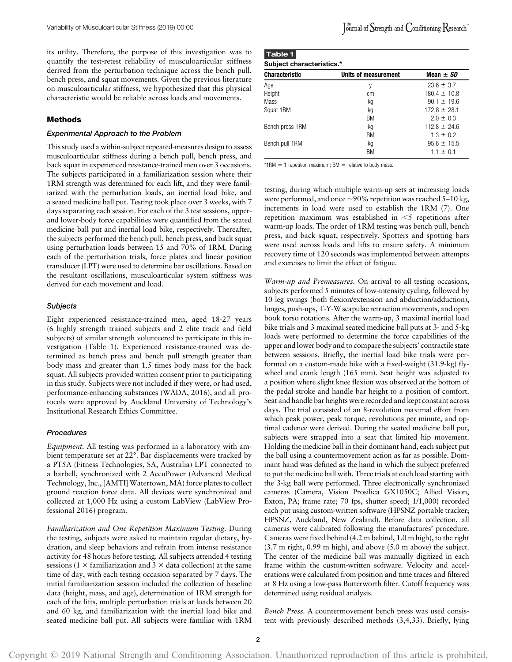its utility. Therefore, the purpose of this investigation was to quantify the test-retest reliability of musculoarticular stiffness derived from the perturbation technique across the bench pull, bench press, and squat movements. Given the previous literature on musculoarticular stiffness, we hypothesized that this physical characteristic would be reliable across loads and movements.

# Methods

#### Experimental Approach to the Problem

This study used a within-subject repeated-measures design to assess musculoarticular stiffness during a bench pull, bench press, and back squat in experienced resistance-trained men over 3 occasions. The subjects participated in a familiarization session where their 1RM strength was determined for each lift, and they were familiarized with the perturbation loads, an inertial load bike, and a seated medicine ball put. Testing took place over 3 weeks, with 7 days separating each session. For each of the 3 test sessions, upperand lower-body force capabilities were quantified from the seated medicine ball put and inertial load bike, respectively. Thereafter, the subjects performed the bench pull, bench press, and back squat using perturbation loads between 15 and 70% of 1RM. During each of the perturbation trials, force plates and linear position transducer (LPT) were used to determine bar oscillations. Based on the resultant oscillations, musculoarticular system stiffness was derived for each movement and load.

#### **Subjects**

Eight experienced resistance-trained men, aged 18-27 years (6 highly strength trained subjects and 2 elite track and field subjects) of similar strength volunteered to participate in this investigation (Table 1). Experienced resistance-trained was determined as bench press and bench pull strength greater than body mass and greater than 1.5 times body mass for the back squat. All subjects provided written consent prior to participating in this study. Subjects were not included if they were, or had used, performance-enhancing substances (WADA, 2016), and all protocols were approved by Auckland University of Technology's Institutional Research Ethics Committee.

# **Procedures**

Equipment. All testing was performed in a laboratory with ambient temperature set at 22°. Bar displacements were tracked by a PT5A (Fitness Technologies, SA, Australia) LPT connected to a barbell, synchronized with 2 AccuPower (Advanced Medical Technology, Inc., [AMTI] Watertown, MA) force plates to collect ground reaction force data. All devices were synchronized and collected at 1,000 Hz using a custom LabView (LabView Professional 2016) program.

Familiarization and One Repetition Maximum Testing. During the testing, subjects were asked to maintain regular dietary, hydration, and sleep behaviors and refrain from intense resistance activity for 48 hours before testing. All subjects attended 4 testing sessions (1  $\times$  familiarization and 3  $\times$  data collection) at the same time of day, with each testing occasion separated by 7 days. The initial familiarization session included the collection of baseline data (height, mass, and age), determination of 1RM strength for each of the lifts, multiple perturbation trials at loads between 20 and 60 kg, and familiarization with the inertial load bike and seated medicine ball put. All subjects were familiar with 1RM

| <b>Characteristic</b> | Units of measurement | Mean $\pm$ SD    |  |  |
|-----------------------|----------------------|------------------|--|--|
| Age                   | y                    | $23.6 \pm 3.7$   |  |  |
| Height                | cm                   | $180.4 \pm 10.8$ |  |  |
| Mass                  | kg                   | $90.1 + 19.6$    |  |  |
| Squat 1RM             | kg                   | $172.8 \pm 28.1$ |  |  |
|                       | ВM                   | $2.0 + 0.3$      |  |  |
| Bench press 1RM       | kg                   | $112.8 \pm 24.6$ |  |  |
|                       | ВM                   | $1.3 \pm 0.2$    |  |  |
| Bench pull 1RM        | kg                   | $95.6 \pm 15.5$  |  |  |
|                       | BM                   | $1.1 + 0.1$      |  |  |

\*1RM  $=$  1 repetition maximum; BM  $=$  relative to body mass.

testing, during which multiple warm-up sets at increasing loads were performed, and once  $\sim$ 90% repetition was reached 5–10 kg, increments in load were used to establish the 1RM (7). One repetition maximum was established in  $\leq$ 5 repetitions after warm-up loads. The order of 1RM testing was bench pull, bench press, and back squat, respectively. Spotters and spotting bars were used across loads and lifts to ensure safety. A minimum recovery time of 120 seconds was implemented between attempts and exercises to limit the effect of fatigue.

Warm-up and Premeasures. On arrival to all testing occasions, subjects performed 5 minutes of low-intensity cycling, followed by 10 leg swings (both flexion/extension and abduction/adduction), lunges, push-ups, T-Y-W scapulae retraction movements, and open book torso rotations. After the warm-up, 3 maximal inertial load bike trials and 3 maximal seated medicine ball puts at 3- and 5-kg loads were performed to determine the force capabilities of the upper and lower body and to compare the subjects' contractile state between sessions. Briefly, the inertial load bike trials were performed on a custom-made bike with a fixed-weight (31.9-kg) flywheel and crank length (165 mm). Seat height was adjusted to a position where slight knee flexion was observed at the bottom of the pedal stroke and handle bar height to a position of comfort. Seat and handle bar heights were recorded and kept constant across days. The trial consisted of an 8-revolution maximal effort from which peak power, peak torque, revolutions per minute, and optimal cadence were derived. During the seated medicine ball put, subjects were strapped into a seat that limited hip movement. Holding the medicine ball in their dominant hand, each subject put the ball using a countermovement action as far as possible. Dominant hand was defined as the hand in which the subject preferred to put the medicine ball with. Three trials at each load starting with the 3-kg ball were performed. Three electronically synchronized cameras (Camera, Vision Prosilica GX1050C; Allied Vision, Exton, PA; frame rate; 70 fps, shutter speed; 1/1,000) recorded each put using custom-written software (HPSNZ portable tracker; HPSNZ, Auckland, New Zealand). Before data collection, all cameras were calibrated following the manufactures' procedure. Cameras were fixed behind (4.2 m behind, 1.0 m high), to the right (3.7 m right, 0.99 m high), and above (5.0 m above) the subject. The center of the medicine ball was manually digitized in each frame within the custom-written software. Velocity and accelerations were calculated from position and time traces and filtered at 8 Hz using a low-pass Butterworth filter. Cutoff frequency was determined using residual analysis.

Bench Press. A countermovement bench press was used consistent with previously described methods (3,4,33). Briefly, lying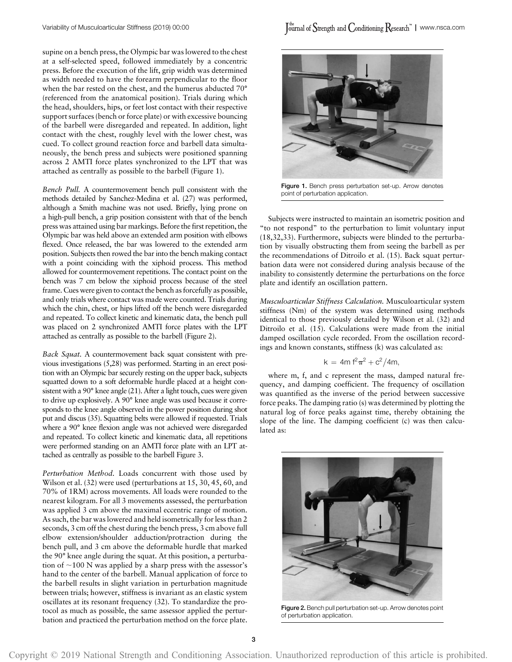supine on a bench press, the Olympic bar was lowered to the chest at a self-selected speed, followed immediately by a concentric press. Before the execution of the lift, grip width was determined as width needed to have the forearm perpendicular to the floor when the bar rested on the chest, and the humerus abducted 70° (referenced from the anatomical position). Trials during which the head, shoulders, hips, or feet lost contact with their respective support surfaces (bench or force plate) or with excessive bouncing of the barbell were disregarded and repeated. In addition, light contact with the chest, roughly level with the lower chest, was cued. To collect ground reaction force and barbell data simultaneously, the bench press and subjects were positioned spanning across 2 AMTI force plates synchronized to the LPT that was attached as centrally as possible to the barbell (Figure 1).

Bench Pull. A countermovement bench pull consistent with the methods detailed by Sanchez-Medina et al. (27) was performed, although a Smith machine was not used. Briefly, lying prone on a high-pull bench, a grip position consistent with that of the bench press was attained using bar markings. Before the first repetition, the Olympic bar was held above an extended arm position with elbows flexed. Once released, the bar was lowered to the extended arm position. Subjects then rowed the bar into the bench making contact with a point coinciding with the xiphoid process. This method allowed for countermovement repetitions. The contact point on the bench was 7 cm below the xiphoid process because of the steel frame. Cues were given to contact the bench as forcefully as possible, and only trials where contact was made were counted. Trials during which the chin, chest, or hips lifted off the bench were disregarded and repeated. To collect kinetic and kinematic data, the bench pull was placed on 2 synchronized AMTI force plates with the LPT attached as centrally as possible to the barbell (Figure 2).

Back Squat. A countermovement back squat consistent with previous investigations (5,28) was performed. Starting in an erect position with an Olympic bar securely resting on the upper back, subjects squatted down to a soft deformable hurdle placed at a height consistent with a 90° knee angle (21). After a light touch, cues were given to drive up explosively. A 90° knee angle was used because it corresponds to the knee angle observed in the power position during shot put and discus (35). Squatting belts were allowed if requested. Trials where a 90° knee flexion angle was not achieved were disregarded and repeated. To collect kinetic and kinematic data, all repetitions were performed standing on an AMTI force plate with an LPT attached as centrally as possible to the barbell Figure 3.

Perturbation Method. Loads concurrent with those used by Wilson et al. (32) were used (perturbations at 15, 30, 45, 60, and 70% of 1RM) across movements. All loads were rounded to the nearest kilogram. For all 3 movements assessed, the perturbation was applied 3 cm above the maximal eccentric range of motion. As such, the bar was lowered and held isometrically for less than 2 seconds, 3 cm off the chest during the bench press, 3 cm above full elbow extension/shoulder adduction/protraction during the bench pull, and 3 cm above the deformable hurdle that marked the 90° knee angle during the squat. At this position, a perturbation of  $\sim$ 100 N was applied by a sharp press with the assessor's hand to the center of the barbell. Manual application of force to the barbell results in slight variation in perturbation magnitude between trials; however, stiffness is invariant as an elastic system oscillates at its resonant frequency (32). To standardize the protocol as much as possible, the same assessor applied the perturbation and practiced the perturbation method on the force plate.



Figure 1. Bench press perturbation set-up. Arrow denotes point of perturbation application.

Subjects were instructed to maintain an isometric position and "to not respond" to the perturbation to limit voluntary input (18,32,33). Furthermore, subjects were blinded to the perturbation by visually obstructing them from seeing the barbell as per the recommendations of Ditroilo et al. (15). Back squat perturbation data were not considered during analysis because of the inability to consistently determine the perturbations on the force plate and identify an oscillation pattern.

Musculoarticular Stiffness Calculation. Musculoarticular system stiffness (Nm) of the system was determined using methods identical to those previously detailed by Wilson et al. (32) and Ditroilo et al. (15). Calculations were made from the initial damped oscillation cycle recorded. From the oscillation recordings and known constants, stiffness (k) was calculated as:

$$
k = 4m f^2 \pi^2 + c^2 / 4m,
$$

where m, f, and c represent the mass, damped natural frequency, and damping coefficient. The frequency of oscillation was quantified as the inverse of the period between successive force peaks. The damping ratio (s) was determined by plotting the natural log of force peaks against time, thereby obtaining the slope of the line. The damping coefficient (c) was then calculated as:



Figure 2. Bench pull perturbation set-up. Arrow denotes point of perturbation application.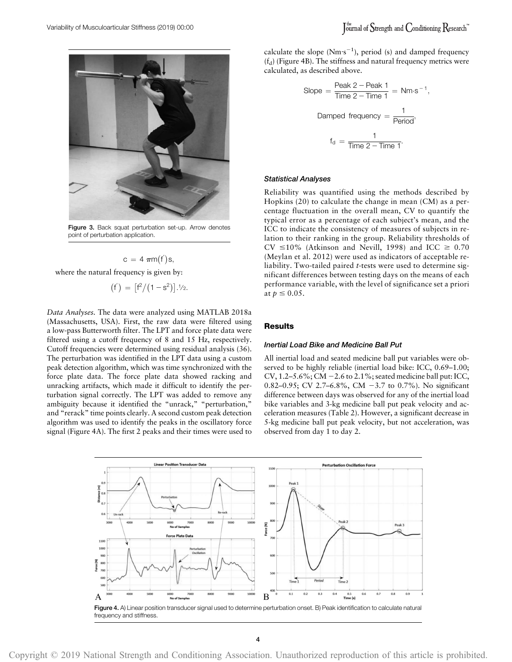

Figure 3. Back squat perturbation set-up. Arrow denotes point of perturbation application.

$$
c = 4 \pi m(f^{'})s,
$$

where the natural frequency is given by:

$$
(\mathsf{f}') = [\mathsf{f}^2/(1-s^2)].^{1/2}.
$$

Data Analyses. The data were analyzed using MATLAB 2018a (Massachusetts, USA). First, the raw data were filtered using a low-pass Butterworth filter. The LPT and force plate data were filtered using a cutoff frequency of 8 and 15 Hz, respectively. Cutoff frequencies were determined using residual analysis (36). The perturbation was identified in the LPT data using a custom peak detection algorithm, which was time synchronized with the force plate data. The force plate data showed racking and unracking artifacts, which made it difficult to identify the perturbation signal correctly. The LPT was added to remove any ambiguity because it identified the "unrack," "perturbation," and "rerack" time points clearly. A second custom peak detection algorithm was used to identify the peaks in the oscillatory force signal (Figure 4A). The first 2 peaks and their times were used to

calculate the slope  $(Nm·s^{-1})$ , period (s) and damped frequency  $(f_d)$  (Figure 4B). The stiffness and natural frequency metrics were calculated, as described above.

Slope = 
$$
\frac{\text{Peak } 2 - \text{Peak } 1}{\text{Time } 2 - \text{Time } 1} = \text{Nm·s}^{-1}
$$
,  
Damped frequency =  $\frac{1}{\text{Period}}$ ,  

$$
f_d = \frac{1}{\text{Time } 2 - \text{Time } 1}.
$$

## Statistical Analyses

Reliability was quantified using the methods described by Hopkins (20) to calculate the change in mean (CM) as a percentage fluctuation in the overall mean, CV to quantify the typical error as a percentage of each subject's mean, and the ICC to indicate the consistency of measures of subjects in relation to their ranking in the group. Reliability thresholds of CV  $\leq$ 10% (Atkinson and Nevill, 1998) and ICC  $\geq$  0.70 (Meylan et al. 2012) were used as indicators of acceptable reliability. Two-tailed paired t-tests were used to determine significant differences between testing days on the means of each performance variable, with the level of significance set a priori at  $p \leq 0.05$ .

## **Results**

## Inertial Load Bike and Medicine Ball Put

All inertial load and seated medicine ball put variables were observed to be highly reliable (inertial load bike: ICC, 0.69–1.00; CV, 1.2–5.6%; CM  $-2.6$  to 2.1%; seated medicine ball put: ICC, 0.82–0.95; CV 2.7–6.8%, CM  $-3.7$  to 0.7%). No significant difference between days was observed for any of the inertial load bike variables and 3-kg medicine ball put peak velocity and acceleration measures (Table 2). However, a significant decrease in 5-kg medicine ball put peak velocity, but not acceleration, was observed from day 1 to day 2.



Copyright © 2019 National Strength and Conditioning Association. Unauthorized reproduction of this article is prohibited.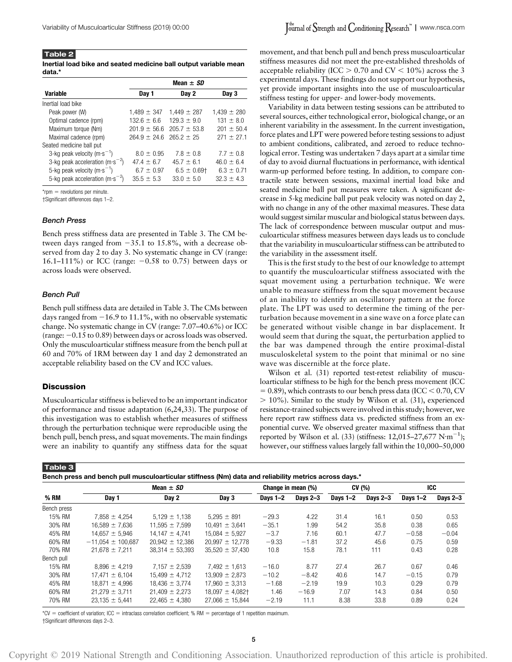Table 2 Inertial load bike and seated medicine ball output variable mean data.\*

|                                                 | Mean $\pm$ SD    |                  |                 |  |  |  |
|-------------------------------------------------|------------------|------------------|-----------------|--|--|--|
| <b>Variable</b>                                 | Day 1            | Day 2            | Day 3           |  |  |  |
| Inertial load bike                              |                  |                  |                 |  |  |  |
| Peak power (W)                                  | $1,489 \pm 347$  | $1.449 \pm 287$  | $1,439 \pm 280$ |  |  |  |
| Optimal cadence (rpm)                           | $132.6 \pm 6.6$  | $129.3 \pm 9.0$  | $131 \pm 8.0$   |  |  |  |
| Maximum torque (Nm)                             | $201.9 \pm 56.6$ | $205.7 \pm 53.8$ | $201 + 50.4$    |  |  |  |
| Maximal cadence (rpm)                           | $264.9 + 24.6$   | $265.2 + 25$     | $271 + 27.1$    |  |  |  |
| Seated medicine ball put                        |                  |                  |                 |  |  |  |
| 3-kg peak velocity ( $m \cdot s^{-1}$ )         | $8.0 \pm 0.95$   | $7.8 + 0.8$      | $7.7 + 0.8$     |  |  |  |
| 3-kg peak acceleration $(m \cdot s^{-2})$       | $47.4 \pm 6.7$   | $45.7 + 6.1$     | $46.0 \pm 6.4$  |  |  |  |
| 5-kg peak velocity (m $\cdot$ s <sup>-1</sup> ) | $6.7 \pm 0.97$   | $6.5 \pm 0.69$ † | $6.3 \pm 0.71$  |  |  |  |
| 5-kg peak acceleration (m·s <sup>-2</sup> )     | $35.5 \pm 5.3$   | $33.0 \pm 5.0$   | $32.3 + 4.3$    |  |  |  |

 $*$ rpm  $=$  revolutions per minute.

†Significant differences days 1–2.

#### Bench Press

Bench press stiffness data are presented in Table 3. The CM between days ranged from  $-35.1$  to 15.8%, with a decrease observed from day 2 to day 3. No systematic change in CV (range: 16.1–111%) or ICC (range:  $-0.58$  to 0.75) between days or across loads were observed.

#### Bench Pull

Bench pull stiffness data are detailed in Table 3. The CMs between days ranged from  $-16.9$  to 11.1%, with no observable systematic change. No systematic change in CV (range: 7.07–40.6%) or ICC (range:  $-0.15$  to 0.89) between days or across loads was observed. Only the musculoarticular stiffness measure from the bench pull at 60 and 70% of 1RM between day 1 and day 2 demonstrated an acceptable reliability based on the CV and ICC values.

#### **Discussion**

Musculoarticular stiffness is believed to be an important indicator of performance and tissue adaptation (6,24,33). The purpose of this investigation was to establish whether measures of stiffness through the perturbation technique were reproducible using the bench pull, bench press, and squat movements. The main findings were an inability to quantify any stiffness data for the squat

movement, and that bench pull and bench press musculoarticular stiffness measures did not meet the pre-established thresholds of acceptable reliability (ICC  $> 0.70$  and CV  $< 10\%$ ) across the 3 experimental days. These findings do not support our hypothesis, yet provide important insights into the use of musculoarticular stiffness testing for upper- and lower-body movements.

Variability in data between testing sessions can be attributed to several sources, either technological error, biological change, or an inherent variability in the assessment. In the current investigation, force plates and LPT were powered before testing sessions to adjust to ambient conditions, calibrated, and zeroed to reduce technological error. Testing was undertaken 7 days apart at a similar time of day to avoid diurnal fluctuations in performance, with identical warm-up performed before testing. In addition, to compare contractile state between sessions, maximal inertial load bike and seated medicine ball put measures were taken. A significant decrease in 5-kg medicine ball put peak velocity was noted on day 2, with no change in any of the other maximal measures. These data would suggest similar muscular and biological status between days. The lack of correspondence between muscular output and musculoarticular stiffness measures between days leads us to conclude that the variability in musculoarticular stiffness can be attributed to the variability in the assessment itself.

This is the first study to the best of our knowledge to attempt to quantify the musculoarticular stiffness associated with the squat movement using a perturbation technique. We were unable to measure stiffness from the squat movement because of an inability to identify an oscillatory pattern at the force plate. The LPT was used to determine the timing of the perturbation because movement in a sine wave on a force plate can be generated without visible change in bar displacement. It would seem that during the squat, the perturbation applied to the bar was dampened through the entire proximal-distal musculoskeletal system to the point that minimal or no sine wave was discernible at the force plate.

Wilson et al. (31) reported test-retest reliability of musculoarticular stiffness to be high for the bench press movement (ICC  $= 0.89$ ), which contrasts to our bench press data (ICC < 0.70, CV  $> 10\%$ ). Similar to the study by Wilson et al. (31), experienced resistance-trained subjects were involved in this study; however, we here report raw stiffness data vs. predicted stiffness from an exponential curve. We observed greater maximal stiffness than that reported by Wilson et al. (33) (stiffness:  $12,015-27,677$  N·m<sup>-1</sup>); however, our stiffness values largely fall within the 10,000–50,000

| "Bench press and bench pull musculoarticular stiffness (Nm) data and reliability metrics across days |  |
|------------------------------------------------------------------------------------------------------|--|

|             | Mean $\pm$ SD         |                     | Change in mean (%)   |            | CV (%)     |            | ICC        |            |            |
|-------------|-----------------------|---------------------|----------------------|------------|------------|------------|------------|------------|------------|
| % RM        | Day 1                 | Day 2               | Day 3                | Davs $1-2$ | Days $2-3$ | Days $1-2$ | Days $2-3$ | Days $1-2$ | Days $2-3$ |
| Bench press |                       |                     |                      |            |            |            |            |            |            |
| 15% RM      | $7.858 \pm 4.254$     | $5.129 \pm 1.138$   | $5.295 \pm 891$      | $-29.3$    | 4.22       | 31.4       | 16.1       | 0.50       | 0.53       |
| 30% RM      | $16.589 \pm 7.636$    | $11.595 \pm 7.599$  | $10.491 \pm 3.641$   | $-35.1$    | 1.99       | 54.2       | 35.8       | 0.38       | 0.65       |
| 45% RM      | $14.657 \pm 5.946$    | $14.147 \pm 4.741$  | $15,084 \pm 5,927$   | $-3.7$     | 7.16       | 60.1       | 47.7       | $-0.58$    | $-0.04$    |
| 60% RM      | $-11.054 \pm 100.687$ | $20,942 \pm 12,386$ | $20,997 \pm 12,778$  | $-9.33$    | $-1.81$    | 37.2       | 45.6       | 0.75       | 0.59       |
| 70% RM      | $21.678 \pm 7.211$    | $38.314 \pm 53.393$ | $35.520 \pm 37.430$  | 10.8       | 15.8       | 78.1       | 111        | 0.43       | 0.28       |
| Bench pull  |                       |                     |                      |            |            |            |            |            |            |
| 15% RM      | $8.896 \pm 4.219$     | $7.157 \pm 2.539$   | $7.492 \pm 1.613$    | $-16.0$    | 8.77       | 27.4       | 26.7       | 0.67       | 0.46       |
| 30% RM      | $17.471 \pm 6.104$    | $15.499 \pm 4.712$  | $13.909 \pm 2.873$   | $-10.2$    | $-8.42$    | 40.6       | 14.7       | $-0.15$    | 0.79       |
| 45% RM      | $18,871 \pm 4,996$    | $18,436 \pm 3,774$  | $17.960 \pm 3.313$   | $-1.68$    | $-2.19$    | 19.9       | 10.3       | 0.29       | 0.79       |
| 60% RM      | $21.279 \pm 3.711$    | $21.409 \pm 2.273$  | $18.097 \pm 4.082$ + | 1.46       | $-16.9$    | 7.07       | 14.3       | 0.84       | 0.50       |
| 70% RM      | $23,135 \pm 5,441$    | $22,465 \pm 4,380$  | $27.066 \pm 15.844$  | $-2.19$    | 11.1       | 8.38       | 33.8       | 0.89       | 0.24       |

 $*CV = coefficient of variation; ICC = intraclass correlation coefficient; % RM = percentage of 1 repetition maximum.$ †Significant differences days 2–3.

Copyright © 2019 National Strength and Conditioning Association. Unauthorized reproduction of this article is prohibited.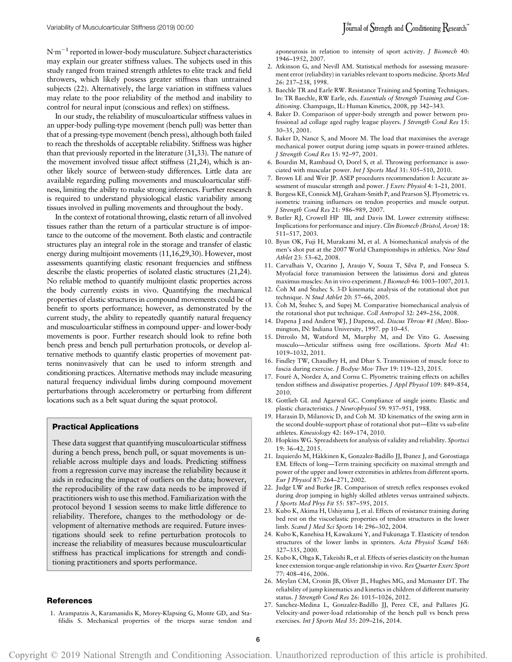$N \cdot m^{-1}$  reported in lower-body musculature. Subject characteristics may explain our greater stiffness values. The subjects used in this study ranged from trained strength athletes to elite track and field throwers, which likely possess greater stiffness than untrained subjects (22). Alternatively, the large variation in stiffness values may relate to the poor reliability of the method and inability to control for neural input (conscious and reflex) on stiffness.

In our study, the reliability of musculoarticular stiffness values in an upper-body pulling-type movement (bench pull) was better than that of a pressing-type movement (bench press), although both failed to reach the thresholds of acceptable reliability. Stiffness was higher than that previously reported in the literature (31,33). The nature of the movement involved tissue affect stiffness (21,24), which is another likely source of between-study differences. Little data are available regarding pulling movements and musculoarticular stiffness, limiting the ability to make strong inferences. Further research is required to understand physiological elastic variability among tissues involved in pulling movements and throughout the body.

In the context of rotational throwing, elastic return of all involved tissues rather than the return of a particular structure is of importance to the outcome of the movement. Both elastic and contractile structures play an integral role in the storage and transfer of elastic energy during multijoint movements (11,16,29,30). However, most assessments quantifying elastic resonant frequencies and stiffness describe the elastic properties of isolated elastic structures (21,24). No reliable method to quantify multijoint elastic properties across the body currently exists in vivo. Quantifying the mechanical properties of elastic structures in compound movements could be of benefit to sports performance; however, as demonstrated by the current study, the ability to repeatedly quantify natural frequency and musculoarticular stiffness in compound upper- and lower-body movements is poor. Further research should look to refine both bench press and bench pull perturbation protocols, or develop alternative methods to quantify elastic properties of movement patterns noninvasively that can be used to inform strength and conditioning practices. Alternative methods may include measuring natural frequency individual limbs during compound movement perturbations through accelerometry or perturbing from different locations such as a belt squat during the squat protocol.

#### Practical Applications

These data suggest that quantifying musculoarticular stiffness during a bench press, bench pull, or squat movements is unreliable across multiple days and loads. Predicting stiffness from a regression curve may increase the reliability because it aids in reducing the impact of outliers on the data; however, the reproducibility of the raw data needs to be improved if practitioners wish to use this method. Familiarization with the protocol beyond 1 session seems to make little difference to reliability. Therefore, changes to the methodology or development of alternative methods are required. Future investigations should seek to refine perturbation protocols to increase the reliability of measures because musculoarticular stiffness has practical implications for strength and conditioning practitioners and sports performance.

### References

1. Arampatzis A, Karamanidis K, Morey-Klapsing G, Monte GD, and Stafilidis S. Mechanical properties of the triceps surae tendon and aponeurosis in relation to intensity of sport activity. J Biomech 40: 1946–1952, 2007.

- 2. Atkinson G, and Nevill AM. Statistical methods for assessing measurement error (reliability) in variables relevant to sports medicine. Sports Med 26: 217–238, 1998.
- 3. Baechle TR and Earle RW. Resistance Training and Spotting Techniques. In: TR Baechle, RW Earle, eds. Essentials of Strength Training and Conditioning. Champaign, IL: Human Kinetics, 2008, pp 342–343.
- 4. Baker D. Comparison of upper-body strength and power between professional ad collage aged rugby league players. J Strength Cond Res 15: 30–35, 2001.
- 5. Baker D, Nance S, and Moore M. The load that maximises the average mechanical power output during jump squats in power-trained athletes. J Strength Cond Res 15: 92–97, 2001.
- 6. Bourdin M, Rambaud O, Dorel S, et al. Throwing performance is associated with muscular power. Int J Sports Med 31: 505–510, 2010.
- 7. Brown LE and Weir JP. ASEP procedures recommendation I: Accurate assessment of muscular strength and power. J Exerc Physiol 4: 1–21, 2001.
- 8. Burgess KE, Connick MJ, Graham-Smith P, and Pearson SJ. Plyometric vs. isometric training influences on tendon properties and muscle output. J Strength Cond Res 21: 986–989, 2007.
- 9. Butler RJ, Crowell HP III, and Davis IM. Lower extremity stiffness: Implications for performance and injury. Clin Biomech (Bristol, Avon) 18: 511–517, 2003.
- 10. Byun OK, Fuji H, Murakami M, et al. A biomechanical analysis of the men's shot put at the 2007 World Championships in athletics. New Stud Athlet 23: 53–62, 2008.
- 11. Carvalhais V, Ocarino J, Araujo V, Souza T, Silva P, and Fonseca S. Myofacial force transmission between the latissimus dorsi and gluteus maximus muscles: An in vivo experiment. J Biomech 46: 1003–1007, 2013.
- 12. Čoh M and Štuhec S. 3-D kinematic analysis of the rotational shot put technique. N Stud Athlet 20: 57-66, 2005.
- 13. Čoh M, Štuhec S, and Supej M. Comparative biomechanical analysis of the rotational shot put technique. Coll Antropol 32: 249–256, 2008.
- 14. Dapena J and Anderst WJ, J Dapena, ed. Discus Throw #1 (Men). Bloomington, IN: Indiana University, 1997. pp 10–45.
- 15. Ditroilo M, Watsford M, Murphy M, and De Vito G. Assessing musculo—Articular stiffness using free oscillations. Sports Med 41: 1019–1032, 2011.
- 16. Findley TW, Chaudhry H, and Dhar S. Transmission of muscle force to fascia during exercise. J Bodyw Mov Ther 19: 119–123, 2015.
- 17. Fouré A, Nordez A, and Cornu C. Plyometric training effects on achilles tendon stiffness and dissipative properties. J Appl Physiol 109: 849–854, 2010.
- 18. Gottlieb GL and Agarwal GC. Compliance of single joints: Elastic and plastic characteristics. J Neurophysiol 59: 937–951, 1988.
- 19. Harasin D, Milanovic D, and Coh M. 3D kinematics of the swing arm in the second double-support phase of rotational shot put—Elite vs sub-elite athletes. Kinesiology 42: 169–174, 2010.
- 20. Hopkins WG. Spreadsheets for analysis of validity and reliability. Sportsci 19: 36–42, 2015.
- 21. Izquierdo M, Hakkinen K, Gonzalez-Badillo JJ, Ibanez J, and Gorostiaga ¨ EM. Effects of long—Term training specificity on maximal strength and power of the upper and lower extremities in athletes from different sports. Eur J Physiol 87: 264–271, 2002.
- 22. Judge LW and Burke JR. Comparison of stretch reflex responses evoked during drop jumping in highly skilled athletes versus untrained subjects. J Sports Med Phys Fit 55: 587–595, 2015.
- 23. Kubo K, Akima H, Ushiyama J, et al. Effects of resistance training during bed rest on the viscoelastic properties of tendon structures in the lower limb. Scand J Med Sci Sports 14: 296–302, 2004.
- 24. Kubo K, Kanehisa H, Kawakami Y, and Fukunaga T. Elasticity of tendon structures of the lower limbs in sprinters. Acta Physiol Scand 168: 327–335, 2000.
- 25. Kubo K, Ohga K, Takeishi R, et al. Effects of series elasticity on the human knee extension torque-angle relationship in vivo. Res Quarter Exerc Sport 77: 408–416, 2006.
- 26. Meylan CM, Cronin JB, Oliver JL, Hughes MG, and Mcmaster DT. The reliability of jump kinematics and kinetics in children of different maturity status. J Strength Cond Res 26: 1015–1026, 2012.
- 27. Sanchez-Medina L, Gonzalez-Badillo JJ, Perez CE, and Pallares JG. Velocity-and power-load relationship of the bench pull vs bench press exercises. Int J Sports Med 35: 209–216, 2014.